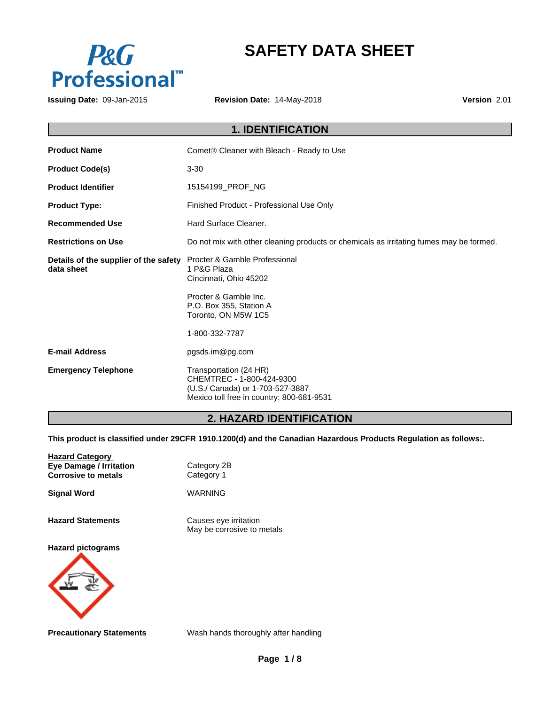

# **SAFETY DATA SHEET**

**Issuing Date:** 09-Jan-2015 **Revision Date:** 14-May-2018 **Version** 2.01

|                                                     | <b>1. IDENTIFICATION</b>                                                                                                                          |
|-----------------------------------------------------|---------------------------------------------------------------------------------------------------------------------------------------------------|
| <b>Product Name</b>                                 | Comet® Cleaner with Bleach - Ready to Use                                                                                                         |
| <b>Product Code(s)</b>                              | $3 - 30$                                                                                                                                          |
| <b>Product Identifier</b>                           | 15154199_PROF_NG                                                                                                                                  |
| <b>Product Type:</b>                                | Finished Product - Professional Use Only                                                                                                          |
| <b>Recommended Use</b>                              | Hard Surface Cleaner.                                                                                                                             |
| <b>Restrictions on Use</b>                          | Do not mix with other cleaning products or chemicals as irritating fumes may be formed.                                                           |
| Details of the supplier of the safety<br>data sheet | Procter & Gamble Professional<br>1 P&G Plaza<br>Cincinnati, Ohio 45202<br>Procter & Gamble Inc.<br>P.O. Box 355, Station A<br>Toronto, ON M5W 1C5 |
|                                                     | 1-800-332-7787                                                                                                                                    |
| <b>E-mail Address</b>                               | pgsds.im@pg.com                                                                                                                                   |
| <b>Emergency Telephone</b>                          | Transportation (24 HR)<br>CHEMTREC - 1-800-424-9300<br>(U.S./ Canada) or 1-703-527-3887<br>Mexico toll free in country: 800-681-9531              |

# **2. HAZARD IDENTIFICATION**

**This product is classified under 29CFR 1910.1200(d) and the Canadian Hazardous Products Regulation as follows:.**

| <b>Hazard Category</b><br><b>Eye Damage / Irritation</b><br><b>Corrosive to metals</b> | Category 2B<br>Category 1                           |
|----------------------------------------------------------------------------------------|-----------------------------------------------------|
| <b>Signal Word</b>                                                                     | <b>WARNING</b>                                      |
| <b>Hazard Statements</b>                                                               | Causes eye irritation<br>May be corrosive to metals |
| <b>Hazard pictograms</b>                                                               |                                                     |

**Precautionary Statements** Wash hands thoroughly after handling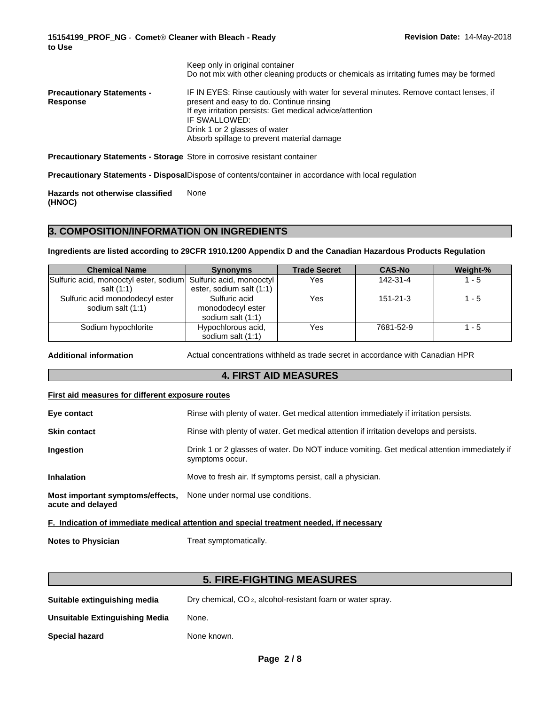**Revision Date:** 14-May-2018

|                                               | Keep only in original container<br>Do not mix with other cleaning products or chemicals as irritating fumes may be formed                                                                                                                                                                      |
|-----------------------------------------------|------------------------------------------------------------------------------------------------------------------------------------------------------------------------------------------------------------------------------------------------------------------------------------------------|
| <b>Precautionary Statements -</b><br>Response | IF IN EYES: Rinse cautiously with water for several minutes. Remove contact lenses, if<br>present and easy to do. Continue rinsing<br>If eye irritation persists: Get medical advice/attention<br>IF SWALLOWED:<br>Drink 1 or 2 glasses of water<br>Absorb spillage to prevent material damage |
|                                               |                                                                                                                                                                                                                                                                                                |

**Precautionary Statements - Storage** Store in corrosive resistant container

**Precautionary Statements - Disposal**Dispose of contents/container in accordance with local regulation

**Hazards not otherwise classified (HNOC)** None

## **3. COMPOSITION/INFORMATION ON INGREDIENTS**

**Ingredients are listed according to 29CFR 1910.1200 Appendix D and the Canadian Hazardous Products Regulation**

| <b>Chemical Name</b>                                            | <b>Synonyms</b>          | <b>Trade Secret</b> | <b>CAS-No</b>  | Weight-% |
|-----------------------------------------------------------------|--------------------------|---------------------|----------------|----------|
| Sulfuric acid, monooctyl ester, sodium Sulfuric acid, monooctyl |                          | Yes                 | 142-31-4       | $1 - 5$  |
| salt (1:1)                                                      | ester, sodium salt (1:1) |                     |                |          |
| Sulfuric acid monododecyl ester                                 | Sulfuric acid            | Yes                 | $151 - 21 - 3$ | $1 - 5$  |
| sodium salt (1:1)                                               | monododecyl ester        |                     |                |          |
|                                                                 | sodium salt (1:1)        |                     |                |          |
| Sodium hypochlorite                                             | Hypochlorous acid,       | Yes                 | 7681-52-9      | $1 - 5$  |
|                                                                 | sodium salt (1:1)        |                     |                |          |

**Additional information** Actual concentrations withheld as trade secret in accordance with Canadian HPR

## **4. FIRST AID MEASURES**

#### **First aid measures for different exposure routes**

| Eye contact                                           | Rinse with plenty of water. Get medical attention immediately if irritation persists.                          |
|-------------------------------------------------------|----------------------------------------------------------------------------------------------------------------|
| <b>Skin contact</b>                                   | Rinse with plenty of water. Get medical attention if irritation develops and persists.                         |
| <b>Ingestion</b>                                      | Drink 1 or 2 glasses of water. Do NOT induce vomiting. Get medical attention immediately if<br>symptoms occur. |
| <b>Inhalation</b>                                     | Move to fresh air. If symptoms persist, call a physician.                                                      |
| Most important symptoms/effects,<br>acute and delayed | None under normal use conditions.                                                                              |
|                                                       |                                                                                                                |

**F. Indication of immediate medical attention and special treatment needed, if necessary**

**Notes to Physician** Treat symptomatically.

# **5. FIRE-FIGHTING MEASURES**

**Suitable extinguishing media** Dry chemical, CO 2, alcohol-resistant foam or water spray. **Unsuitable Extinguishing Media** None.

**Special hazard** None known.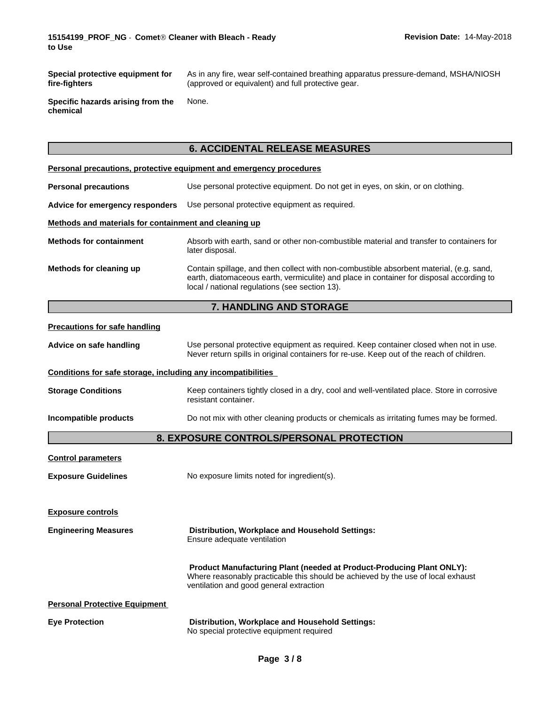**Special protective equipment for fire-fighters**

As in any fire, wear self-contained breathing apparatus pressure-demand, MSHA/NIOSH (approved or equivalent) and full protective gear.

**Specific hazards arising from the chemical** None.

# **6. ACCIDENTAL RELEASE MEASURES**

|                                                              | Personal precautions, protective equipment and emergency procedures                                                                                                                                                                   |  |  |  |  |
|--------------------------------------------------------------|---------------------------------------------------------------------------------------------------------------------------------------------------------------------------------------------------------------------------------------|--|--|--|--|
| <b>Personal precautions</b>                                  | Use personal protective equipment. Do not get in eyes, on skin, or on clothing.                                                                                                                                                       |  |  |  |  |
| Advice for emergency responders                              | Use personal protective equipment as required.                                                                                                                                                                                        |  |  |  |  |
| Methods and materials for containment and cleaning up        |                                                                                                                                                                                                                                       |  |  |  |  |
| <b>Methods for containment</b>                               | Absorb with earth, sand or other non-combustible material and transfer to containers for<br>later disposal.                                                                                                                           |  |  |  |  |
| Methods for cleaning up                                      | Contain spillage, and then collect with non-combustible absorbent material, (e.g. sand,<br>earth, diatomaceous earth, vermiculite) and place in container for disposal according to<br>local / national regulations (see section 13). |  |  |  |  |
|                                                              | 7. HANDLING AND STORAGE                                                                                                                                                                                                               |  |  |  |  |
| <b>Precautions for safe handling</b>                         |                                                                                                                                                                                                                                       |  |  |  |  |
| Advice on safe handling                                      | Use personal protective equipment as required. Keep container closed when not in use.<br>Never return spills in original containers for re-use. Keep out of the reach of children.                                                    |  |  |  |  |
| Conditions for safe storage, including any incompatibilities |                                                                                                                                                                                                                                       |  |  |  |  |
| <b>Storage Conditions</b>                                    | Keep containers tightly closed in a dry, cool and well-ventilated place. Store in corrosive<br>resistant container.                                                                                                                   |  |  |  |  |
| Incompatible products                                        | Do not mix with other cleaning products or chemicals as irritating fumes may be formed.                                                                                                                                               |  |  |  |  |
|                                                              | 8. EXPOSURE CONTROLS/PERSONAL PROTECTION                                                                                                                                                                                              |  |  |  |  |
| <b>Control parameters</b>                                    |                                                                                                                                                                                                                                       |  |  |  |  |
| <b>Exposure Guidelines</b>                                   | No exposure limits noted for ingredient(s).                                                                                                                                                                                           |  |  |  |  |
| <b>Exposure controls</b>                                     |                                                                                                                                                                                                                                       |  |  |  |  |
| <b>Engineering Measures</b>                                  | Distribution, Workplace and Household Settings:<br>Ensure adequate ventilation                                                                                                                                                        |  |  |  |  |
|                                                              | Product Manufacturing Plant (needed at Product-Producing Plant ONLY):<br>Where reasonably practicable this should be achieved by the use of local exhaust<br>ventilation and good general extraction                                  |  |  |  |  |
| <b>Personal Protective Equipment</b>                         |                                                                                                                                                                                                                                       |  |  |  |  |
| <b>Eye Protection</b>                                        | Distribution, Workplace and Household Settings:<br>No special protective equipment required                                                                                                                                           |  |  |  |  |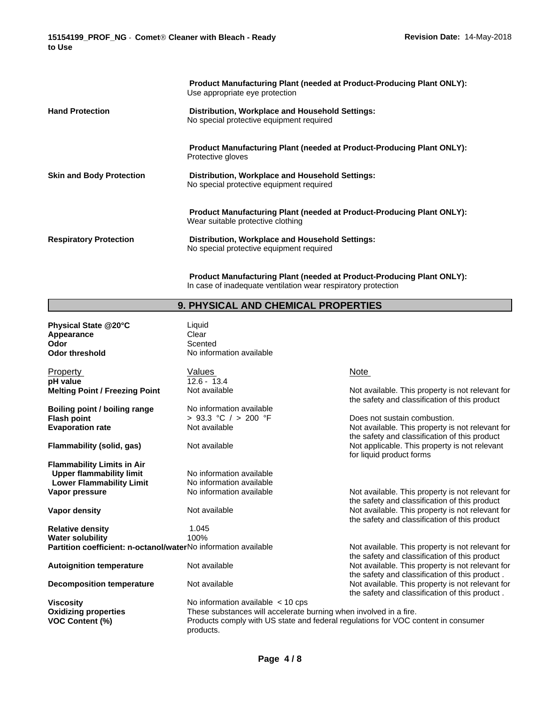| <b>Product Manufacturing Plant (needed at Product-Producing Plant ONLY):</b><br>Use appropriate eye protection    |
|-------------------------------------------------------------------------------------------------------------------|
| Distribution, Workplace and Household Settings:<br>No special protective equipment required                       |
| Product Manufacturing Plant (needed at Product-Producing Plant ONLY):<br>Protective gloves                        |
| Distribution, Workplace and Household Settings:<br>No special protective equipment required                       |
| <b>Product Manufacturing Plant (needed at Product-Producing Plant ONLY):</b><br>Wear suitable protective clothing |
| Distribution, Workplace and Household Settings:<br>No special protective equipment required                       |
|                                                                                                                   |

**Product Manufacturing Plant (needed at Product-Producing Plant ONLY):** In case of inadequate ventilation wear respiratory protection

# **9. PHYSICAL AND CHEMICAL PROPERTIES**

| Physical State @20°C                                           | Liquid                                                            |                                                                                                    |
|----------------------------------------------------------------|-------------------------------------------------------------------|----------------------------------------------------------------------------------------------------|
| Appearance                                                     | Clear                                                             |                                                                                                    |
| Odor                                                           | Scented                                                           |                                                                                                    |
| <b>Odor threshold</b>                                          | No information available                                          |                                                                                                    |
| Property                                                       | Values                                                            | Note                                                                                               |
| pH value                                                       | $12.6 - 13.4$                                                     |                                                                                                    |
| <b>Melting Point / Freezing Point</b>                          | Not available                                                     | Not available. This property is not relevant for<br>the safety and classification of this product  |
| Boiling point / boiling range                                  | No information available                                          |                                                                                                    |
| <b>Flash point</b>                                             | > 93.3 °C / > 200 °F                                              | Does not sustain combustion.                                                                       |
| <b>Evaporation rate</b>                                        | Not available                                                     | Not available. This property is not relevant for<br>the safety and classification of this product  |
| Flammability (solid, gas)                                      | Not available                                                     | Not applicable. This property is not relevant<br>for liquid product forms                          |
| <b>Flammability Limits in Air</b>                              |                                                                   |                                                                                                    |
| <b>Upper flammability limit</b>                                | No information available                                          |                                                                                                    |
| <b>Lower Flammability Limit</b>                                | No information available                                          |                                                                                                    |
| Vapor pressure                                                 | No information available                                          | Not available. This property is not relevant for<br>the safety and classification of this product  |
| Vapor density                                                  | Not available                                                     | Not available. This property is not relevant for<br>the safety and classification of this product  |
| <b>Relative density</b>                                        | 1.045                                                             |                                                                                                    |
| <b>Water solubility</b>                                        | 100%                                                              |                                                                                                    |
| Partition coefficient: n-octanol/waterNo information available |                                                                   | Not available. This property is not relevant for<br>the safety and classification of this product  |
| <b>Autoignition temperature</b>                                | Not available                                                     | Not available. This property is not relevant for<br>the safety and classification of this product. |
| <b>Decomposition temperature</b>                               | Not available                                                     | Not available. This property is not relevant for<br>the safety and classification of this product. |
| <b>Viscosity</b>                                               | No information available $\lt$ 10 cps                             |                                                                                                    |
| <b>Oxidizing properties</b>                                    | These substances will accelerate burning when involved in a fire. |                                                                                                    |
| <b>VOC Content (%)</b>                                         | products.                                                         | Products comply with US state and federal regulations for VOC content in consumer                  |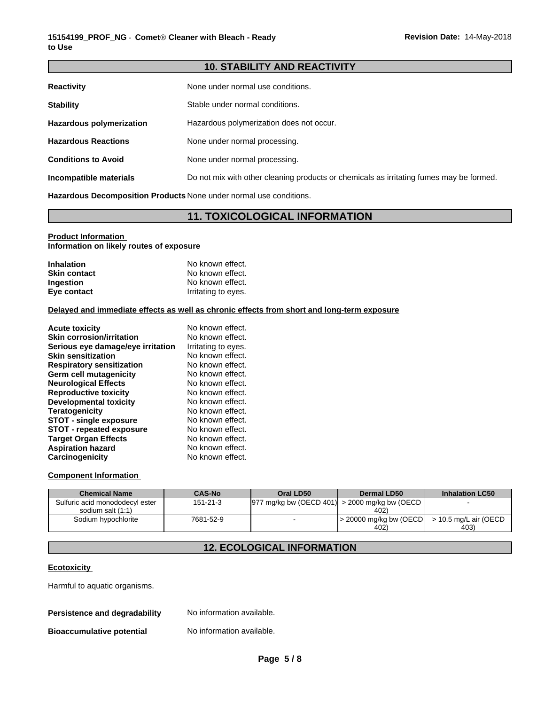## **10. STABILITY AND REACTIVITY**

| <b>Reactivity</b>               | None under normal use conditions.                                                       |
|---------------------------------|-----------------------------------------------------------------------------------------|
| <b>Stability</b>                | Stable under normal conditions.                                                         |
| <b>Hazardous polymerization</b> | Hazardous polymerization does not occur.                                                |
| <b>Hazardous Reactions</b>      | None under normal processing.                                                           |
| <b>Conditions to Avoid</b>      | None under normal processing.                                                           |
| Incompatible materials          | Do not mix with other cleaning products or chemicals as irritating fumes may be formed. |

**Hazardous Decomposition Products** None under normal use conditions.

## **11. TOXICOLOGICAL INFORMATION**

#### **Product Information**

**Information on likely routes of exposure**

| <b>Inhalation</b>   | No known effect.    |
|---------------------|---------------------|
| <b>Skin contact</b> | No known effect.    |
| <b>Ingestion</b>    | No known effect.    |
| Eye contact         | Irritating to eyes. |

## **Delayed and immediate effects as well as chronic effects from short and long-term exposure**

| <b>Acute toxicity</b>             | No known effect.    |
|-----------------------------------|---------------------|
| <b>Skin corrosion/irritation</b>  | No known effect.    |
| Serious eye damage/eye irritation | Irritating to eyes. |
| <b>Skin sensitization</b>         | No known effect.    |
| <b>Respiratory sensitization</b>  | No known effect.    |
| Germ cell mutagenicity            | No known effect.    |
| <b>Neurological Effects</b>       | No known effect.    |
| <b>Reproductive toxicity</b>      | No known effect.    |
| Developmental toxicity            | No known effect.    |
| <b>Teratogenicity</b>             | No known effect.    |
| <b>STOT - single exposure</b>     | No known effect.    |
| <b>STOT - repeated exposure</b>   | No known effect.    |
| <b>Target Organ Effects</b>       | No known effect.    |
| <b>Aspiration hazard</b>          | No known effect.    |
| Carcinogenicity                   | No known effect.    |

## **Component Information**

| <b>Chemical Name</b>            | <b>CAS-No</b> | Oral LD50 | Dermal LD50                                                              | <b>Inhalation LC50</b> |
|---------------------------------|---------------|-----------|--------------------------------------------------------------------------|------------------------|
| Sulfuric acid monododecyl ester | 151-21-3      |           | $ 977 \text{ mg/kg}$ bw (OECD 401) $  > 2000 \text{ mg/kg}$ bw (OECD $ $ |                        |
| sodium salt (1:1)               |               |           | 402)                                                                     |                        |
| Sodium hypochlorite             | 7681-52-9     |           | $\sim$ 20000 mg/kg bw (OECD)                                             | > 10.5 mg/L air (OECD  |
|                                 |               |           | 402)                                                                     | 403)                   |

## **12. ECOLOGICAL INFORMATION**

### **Ecotoxicity**

Harmful to aquatic organisms.

#### **Persistence and degradability** No information available.

**Bioaccumulative potential** No information available.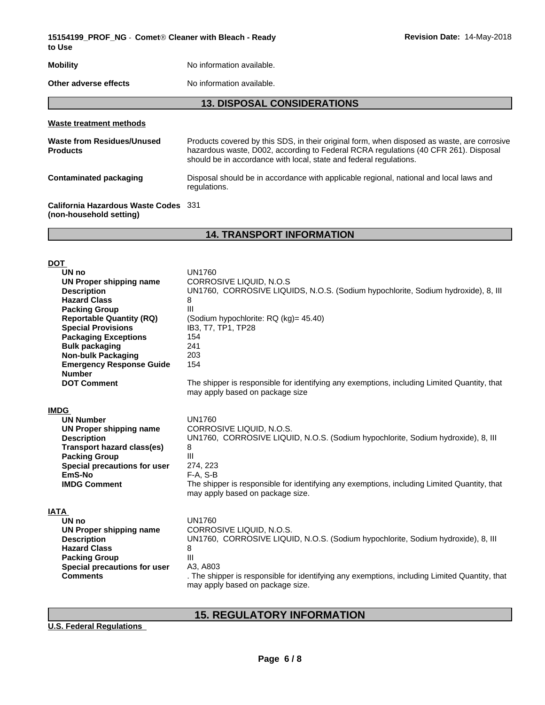**15154199\_PROF\_NG** - **CometÒCleaner with Bleach - Ready to Use**

# **Mobility** No information available.

**Other adverse effects** No information available.

## **13. DISPOSAL CONSIDERATIONS**

| Products covered by this SDS, in their original form, when disposed as waste, are corrosive<br>hazardous waste, D002, according to Federal RCRA regulations (40 CFR 261). Disposal<br>should be in accordance with local, state and federal regulations. |
|----------------------------------------------------------------------------------------------------------------------------------------------------------------------------------------------------------------------------------------------------------|
| Disposal should be in accordance with applicable regional, national and local laws and<br>regulations.                                                                                                                                                   |
| California Hazardous Waste Codes 331                                                                                                                                                                                                                     |
|                                                                                                                                                                                                                                                          |

## **14. TRANSPORT INFORMATION**

| <b>DOT</b>                        |                                                                                               |
|-----------------------------------|-----------------------------------------------------------------------------------------------|
| UN no                             | <b>UN1760</b>                                                                                 |
| UN Proper shipping name           | CORROSIVE LIQUID, N.O.S                                                                       |
| <b>Description</b>                | UN1760, CORROSIVE LIQUIDS, N.O.S. (Sodium hypochlorite, Sodium hydroxide), 8, III             |
| <b>Hazard Class</b>               | 8                                                                                             |
| <b>Packing Group</b>              | III                                                                                           |
| <b>Reportable Quantity (RQ)</b>   | (Sodium hypochlorite: RQ (kg)= 45.40)                                                         |
| <b>Special Provisions</b>         | IB3, T7, TP1, TP28                                                                            |
| <b>Packaging Exceptions</b>       | 154                                                                                           |
| <b>Bulk packaging</b>             | 241                                                                                           |
| <b>Non-bulk Packaging</b>         | 203                                                                                           |
| <b>Emergency Response Guide</b>   | 154                                                                                           |
| <b>Number</b>                     |                                                                                               |
| <b>DOT Comment</b>                | The shipper is responsible for identifying any exemptions, including Limited Quantity, that   |
|                                   | may apply based on package size                                                               |
|                                   |                                                                                               |
| <b>IMDG</b>                       |                                                                                               |
| <b>UN Number</b>                  | <b>UN1760</b>                                                                                 |
| <b>UN Proper shipping name</b>    | CORROSIVE LIQUID, N.O.S.                                                                      |
| <b>Description</b>                | UN1760, CORROSIVE LIQUID, N.O.S. (Sodium hypochlorite, Sodium hydroxide), 8, III              |
| <b>Transport hazard class(es)</b> | 8                                                                                             |
| <b>Packing Group</b>              | III                                                                                           |
| Special precautions for user      | 274, 223                                                                                      |
| EmS-No                            | $F-A, S-B$                                                                                    |
| <b>IMDG Comment</b>               | The shipper is responsible for identifying any exemptions, including Limited Quantity, that   |
|                                   | may apply based on package size.                                                              |
| IATA                              |                                                                                               |
| UN no                             | <b>UN1760</b>                                                                                 |
| UN Proper shipping name           | CORROSIVE LIQUID, N.O.S.                                                                      |
| <b>Description</b>                | UN1760, CORROSIVE LIQUID, N.O.S. (Sodium hypochlorite, Sodium hydroxide), 8, III              |
| <b>Hazard Class</b>               | 8                                                                                             |
| <b>Packing Group</b>              | $\mathbf{III}$                                                                                |
| Special precautions for user      | A3, A803                                                                                      |
| <b>Comments</b>                   | . The shipper is responsible for identifying any exemptions, including Limited Quantity, that |
|                                   | may apply based on package size.                                                              |
|                                   |                                                                                               |

# **15. REGULATORY INFORMATION**

**U.S. Federal Regulations**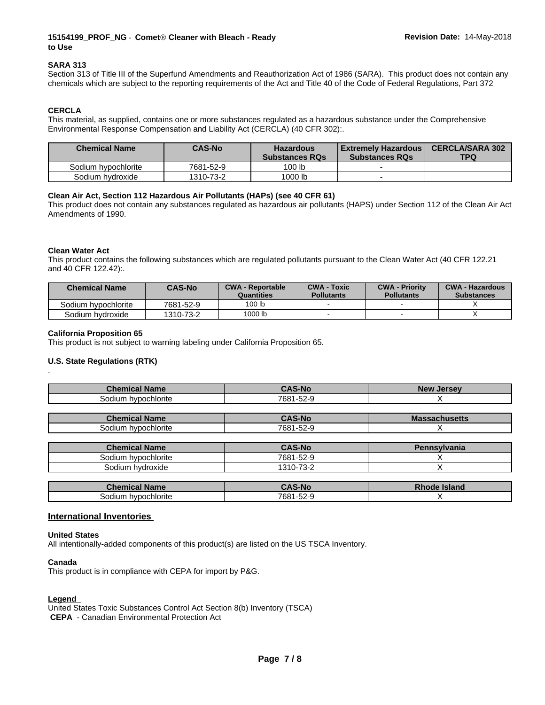## **15154199\_PROF\_NG** - **CometÒCleaner with Bleach - Ready to Use**

#### **SARA 313**

Section 313 of Title III of the Superfund Amendments and Reauthorization Act of 1986 (SARA). This product does not contain any chemicals which are subject to the reporting requirements of the Act and Title 40 of the Code of Federal Regulations, Part 372

### **CERCLA**

This material, as supplied, contains one or more substances regulated as a hazardous substance under the Comprehensive Environmental Response Compensation and Liability Act (CERCLA) (40 CFR 302):.

| <b>Chemical Name</b> | <b>CAS-No</b> | <b>Hazardous</b><br><b>Substances RQs</b> | l Extremelv Hazardous I<br><b>Substances RQs</b> | <b>CERCLA/SARA 302</b><br>TPQ |
|----------------------|---------------|-------------------------------------------|--------------------------------------------------|-------------------------------|
| Sodium hypochlorite  | 7681-52-9     | 100 lb                                    |                                                  |                               |
| Sodium hydroxide     | 1310-73-2     | 1000 lb                                   |                                                  |                               |

### **Clean Air Act,Section 112 Hazardous Air Pollutants (HAPs) (see 40 CFR 61)**

This product does not contain any substances regulated as hazardous air pollutants (HAPS) under Section 112 of the Clean Air Act Amendments of 1990.

#### **Clean Water Act**

.

This product contains the following substances which are regulated pollutants pursuant to the Clean Water Act (40 CFR 122.21 and 40 CFR 122.42):.

| <b>Chemical Name</b> | <b>CAS-No</b> | <b>CWA - Reportable</b><br>Quantities | <b>CWA - Toxic</b><br><b>Pollutants</b> | <b>CWA - Priority</b><br><b>Pollutants</b> | <b>CWA - Hazardous</b><br><b>Substances</b> |
|----------------------|---------------|---------------------------------------|-----------------------------------------|--------------------------------------------|---------------------------------------------|
| Sodium hypochlorite  | 7681-52-9     | 100 lb                                |                                         |                                            |                                             |
| Sodium hvdroxide     | 1310-73-2     | 1000 lb                               |                                         |                                            |                                             |

#### **California Proposition 65**

This product is not subject to warning labeling under California Proposition 65.

#### **U.S. State Regulations (RTK)**

| <b>Chemical Name</b>   | <b>CAS-No</b> | <b>New</b><br><b>Jersey</b> |
|------------------------|---------------|-----------------------------|
| Sodium<br>hypochlorite | 7681-52-9     |                             |
|                        |               |                             |
|                        | .             | ___<br>____                 |

| Chemical<br><b>Name</b> | -Nc<br>. .                   | <b>Massachusetts</b> |
|-------------------------|------------------------------|----------------------|
| ⊦h∨pochlorite<br>odiumص | $\sim$ $\sim$<br>7681<br>ാ∠∹ |                      |

| <b>Chemical Name</b>   | <b>CAS-No</b>       | Pennsvlvania |
|------------------------|---------------------|--------------|
| hypochlorite<br>sodium | 7681-52-9           |              |
| hvdroxide<br>30dium    | $73 - $<br>، -10% ` |              |

| 'homi<br><b>'ame</b>               | <b>AS-No</b>                           | $-1$ of $-1$<br>∽ isidilu - |
|------------------------------------|----------------------------------------|-----------------------------|
| . .<br>pochlorite<br>ווומסצ<br>nın | $\sim$ $\sim$<br>$7681 -$<br>$\sim$ 1/ |                             |

#### **International Inventories**

#### **United States**

All intentionally-added components of this product(s) are listed on the US TSCA Inventory.

#### **Canada**

This product is in compliance with CEPA for import by P&G.

#### **Legend**

United States Toxic Substances Control Act Section 8(b) Inventory (TSCA)  **CEPA** - Canadian Environmental Protection Act